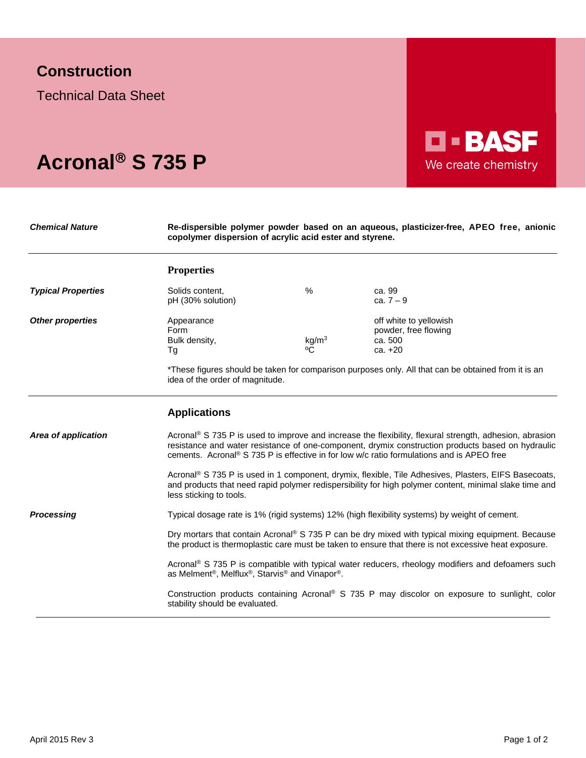## **Construction**

Technical Data Sheet

# Acronal<sup>®</sup> S 735 P

*Chemical Nature* **Re-dispersible polymer powder based on an aqueous, plasticizer-free, APEO free, anionic copolymer dispersion of acrylic acid ester and styrene.**

**D-BASF** 

We create chemistry

|                           | <b>Properties</b>                                                                                                                                                                                                                                                                                                                 |                          |                                                                                                                                                                               |  |
|---------------------------|-----------------------------------------------------------------------------------------------------------------------------------------------------------------------------------------------------------------------------------------------------------------------------------------------------------------------------------|--------------------------|-------------------------------------------------------------------------------------------------------------------------------------------------------------------------------|--|
| <b>Typical Properties</b> | Solids content,<br>pH (30% solution)                                                                                                                                                                                                                                                                                              | %                        | ca. 99<br>ca. $7 - 9$                                                                                                                                                         |  |
| <b>Other properties</b>   | Appearance<br>Form<br>Bulk density,<br>Тg<br>idea of the order of magnitude.                                                                                                                                                                                                                                                      | kg/m <sup>3</sup><br>٥Č. | off white to yellowish<br>powder, free flowing<br>ca. 500<br>$ca. +20$<br>*These figures should be taken for comparison purposes only. All that can be obtained from it is an |  |
|                           | <b>Applications</b>                                                                                                                                                                                                                                                                                                               |                          |                                                                                                                                                                               |  |
| Area of application       | Acronal <sup>®</sup> S 735 P is used to improve and increase the flexibility, flexural strength, adhesion, abrasion<br>resistance and water resistance of one-component, drymix construction products based on hydraulic<br>cements. Acronal <sup>®</sup> S 735 P is effective in for low w/c ratio formulations and is APEO free |                          |                                                                                                                                                                               |  |
|                           | Acronal <sup>®</sup> S 735 P is used in 1 component, drymix, flexible, Tile Adhesives, Plasters, EIFS Basecoats,<br>and products that need rapid polymer redispersibility for high polymer content, minimal slake time and<br>less sticking to tools.                                                                             |                          |                                                                                                                                                                               |  |
| <b>Processing</b>         | Typical dosage rate is 1% (rigid systems) 12% (high flexibility systems) by weight of cement.                                                                                                                                                                                                                                     |                          |                                                                                                                                                                               |  |
|                           | Dry mortars that contain Acronal® S 735 P can be dry mixed with typical mixing equipment. Because<br>the product is thermoplastic care must be taken to ensure that there is not excessive heat exposure.                                                                                                                         |                          |                                                                                                                                                                               |  |
|                           | Acronal <sup>®</sup> S 735 P is compatible with typical water reducers, rheology modifiers and defoamers such<br>as Melment <sup>®</sup> , Melflux <sup>®</sup> , Starvis <sup>®</sup> and Vinapor®.                                                                                                                              |                          |                                                                                                                                                                               |  |
|                           | stability should be evaluated.                                                                                                                                                                                                                                                                                                    |                          | Construction products containing Acronal® S 735 P may discolor on exposure to sunlight, color                                                                                 |  |